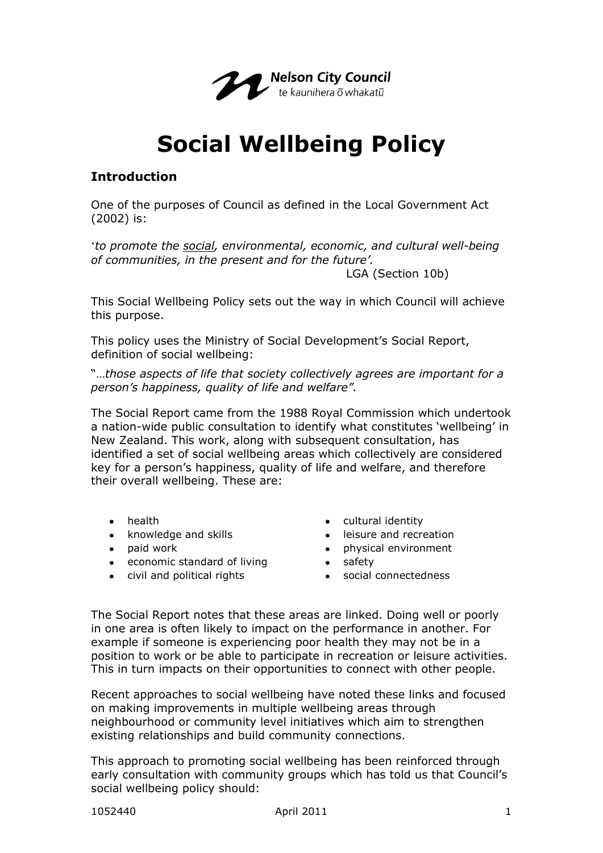

# **Social Wellbeing Policy**

### **Introduction**

One of the purposes of Council as defined in the Local Government Act (2002) is:

'*to promote the social, environmental, economic, and cultural well-being of communities, in the present and for the future'.*

LGA (Section 10b)

This Social Wellbeing Policy sets out the way in which Council will achieve this purpose.

This policy uses the Ministry of Social Development's Social Report, definition of social wellbeing:

"…*those aspects of life that society collectively agrees are important for a person's happiness, quality of life and welfare".*

The Social Report came from the 1988 Royal Commission which undertook a nation-wide public consultation to identify what constitutes "wellbeing" in New Zealand. This work, along with subsequent consultation, has identified a set of social wellbeing areas which collectively are considered key for a person"s happiness, quality of life and welfare, and therefore their overall wellbeing. These are:

- health
- knowledge and skills
- paid work
- economic standard of living
- civil and political rights
- cultural identity
- leisure and recreation
- physical environment
- safety
	- social connectedness

The Social Report notes that these areas are linked. Doing well or poorly in one area is often likely to impact on the performance in another. For example if someone is experiencing poor health they may not be in a position to work or be able to participate in recreation or leisure activities. This in turn impacts on their opportunities to connect with other people.

Recent approaches to social wellbeing have noted these links and focused on making improvements in multiple wellbeing areas through neighbourhood or community level initiatives which aim to strengthen existing relationships and build community connections.

This approach to promoting social wellbeing has been reinforced through early consultation with community groups which has told us that Council's social wellbeing policy should: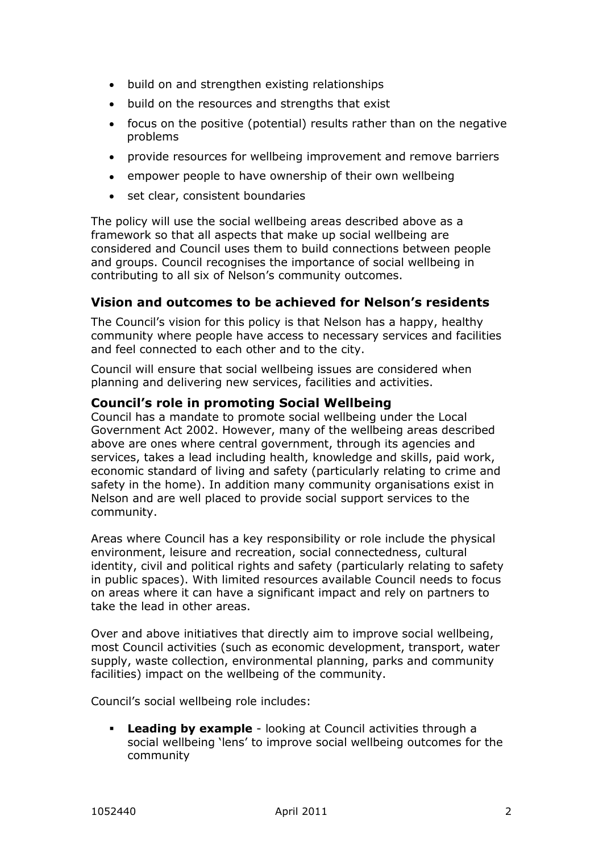- $\bullet$ build on and strengthen existing relationships
- build on the resources and strengths that exist
- focus on the positive (potential) results rather than on the negative problems
- provide resources for wellbeing improvement and remove barriers
- empower people to have ownership of their own wellbeing  $\bullet$
- set clear, consistent boundaries  $\bullet$

The policy will use the social wellbeing areas described above as a framework so that all aspects that make up social wellbeing are considered and Council uses them to build connections between people and groups. Council recognises the importance of social wellbeing in contributing to all six of Nelson"s community outcomes.

### **Vision and outcomes to be achieved for Nelson's residents**

The Council's vision for this policy is that Nelson has a happy, healthy community where people have access to necessary services and facilities and feel connected to each other and to the city.

Council will ensure that social wellbeing issues are considered when planning and delivering new services, facilities and activities.

### **Council's role in promoting Social Wellbeing**

Council has a mandate to promote social wellbeing under the Local Government Act 2002. However, many of the wellbeing areas described above are ones where central government, through its agencies and services, takes a lead including health, knowledge and skills, paid work, economic standard of living and safety (particularly relating to crime and safety in the home). In addition many community organisations exist in Nelson and are well placed to provide social support services to the community.

Areas where Council has a key responsibility or role include the physical environment, leisure and recreation, social connectedness, cultural identity, civil and political rights and safety (particularly relating to safety in public spaces). With limited resources available Council needs to focus on areas where it can have a significant impact and rely on partners to take the lead in other areas.

Over and above initiatives that directly aim to improve social wellbeing, most Council activities (such as economic development, transport, water supply, waste collection, environmental planning, parks and community facilities) impact on the wellbeing of the community.

Council"s social wellbeing role includes:

 **Leading by example** - looking at Council activities through a social wellbeing "lens" to improve social wellbeing outcomes for the community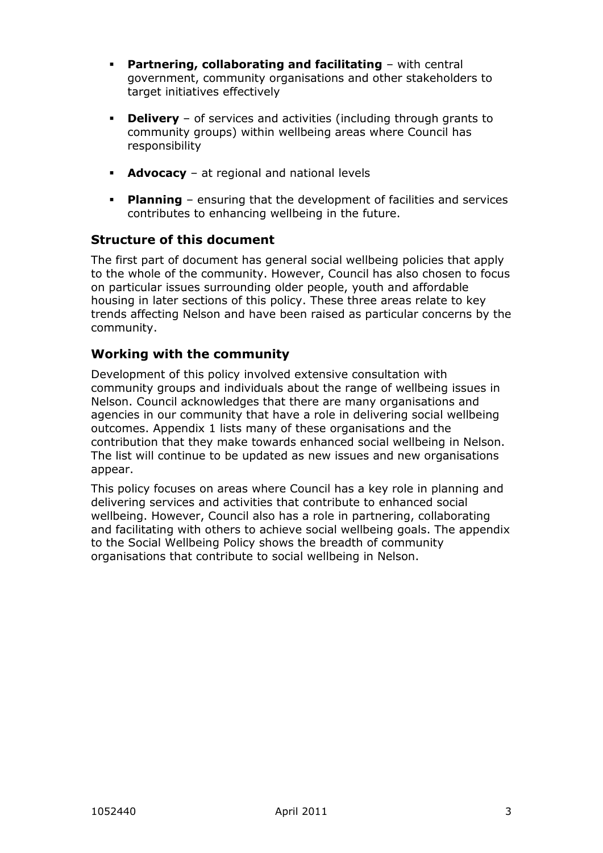- **Partnering, collaborating and facilitating with central** government, community organisations and other stakeholders to target initiatives effectively
- **Delivery** of services and activities (including through grants to community groups) within wellbeing areas where Council has responsibility
- **Advocacy** at regional and national levels
- **Planning** ensuring that the development of facilities and services contributes to enhancing wellbeing in the future.

### **Structure of this document**

The first part of document has general social wellbeing policies that apply to the whole of the community. However, Council has also chosen to focus on particular issues surrounding older people, youth and affordable housing in later sections of this policy. These three areas relate to key trends affecting Nelson and have been raised as particular concerns by the community.

### **Working with the community**

Development of this policy involved extensive consultation with community groups and individuals about the range of wellbeing issues in Nelson. Council acknowledges that there are many organisations and agencies in our community that have a role in delivering social wellbeing outcomes. Appendix 1 lists many of these organisations and the contribution that they make towards enhanced social wellbeing in Nelson. The list will continue to be updated as new issues and new organisations appear.

This policy focuses on areas where Council has a key role in planning and delivering services and activities that contribute to enhanced social wellbeing. However, Council also has a role in partnering, collaborating and facilitating with others to achieve social wellbeing goals. The appendix to the Social Wellbeing Policy shows the breadth of community organisations that contribute to social wellbeing in Nelson.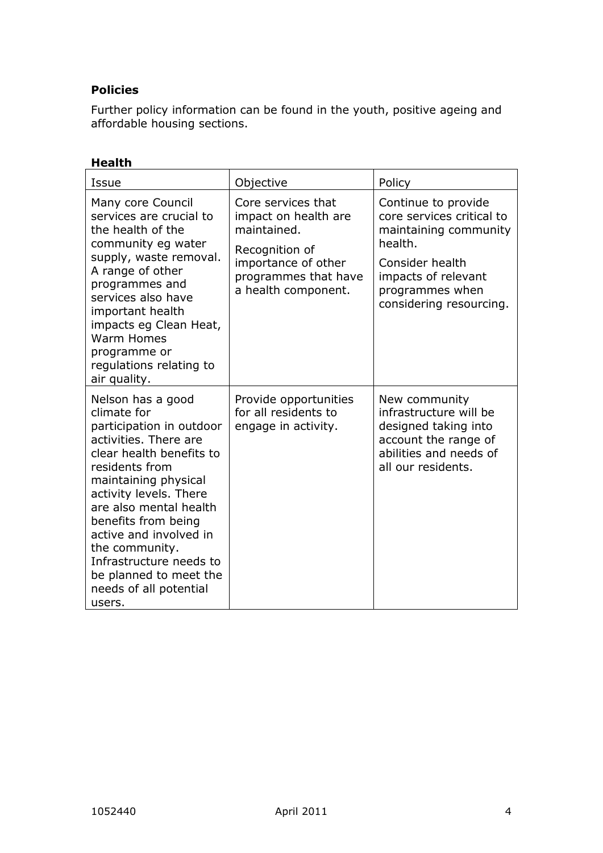### **Policies**

Further policy information can be found in the youth, positive ageing and affordable housing sections.

### **Health**

| Issue                                                                                                                                                                                                                                                                                                                                                                       | Objective                                                                                                                                         | Policy                                                                                                                                                                       |
|-----------------------------------------------------------------------------------------------------------------------------------------------------------------------------------------------------------------------------------------------------------------------------------------------------------------------------------------------------------------------------|---------------------------------------------------------------------------------------------------------------------------------------------------|------------------------------------------------------------------------------------------------------------------------------------------------------------------------------|
| Many core Council<br>services are crucial to<br>the health of the<br>community eg water<br>supply, waste removal.<br>A range of other<br>programmes and<br>services also have<br>important health<br>impacts eg Clean Heat,<br><b>Warm Homes</b><br>programme or<br>regulations relating to<br>air quality.                                                                 | Core services that<br>impact on health are<br>maintained.<br>Recognition of<br>importance of other<br>programmes that have<br>a health component. | Continue to provide<br>core services critical to<br>maintaining community<br>health.<br>Consider health<br>impacts of relevant<br>programmes when<br>considering resourcing. |
| Nelson has a good<br>climate for<br>participation in outdoor<br>activities. There are<br>clear health benefits to<br>residents from<br>maintaining physical<br>activity levels. There<br>are also mental health<br>benefits from being<br>active and involved in<br>the community.<br>Infrastructure needs to<br>be planned to meet the<br>needs of all potential<br>users. | Provide opportunities<br>for all residents to<br>engage in activity.                                                                              | New community<br>infrastructure will be<br>designed taking into<br>account the range of<br>abilities and needs of<br>all our residents.                                      |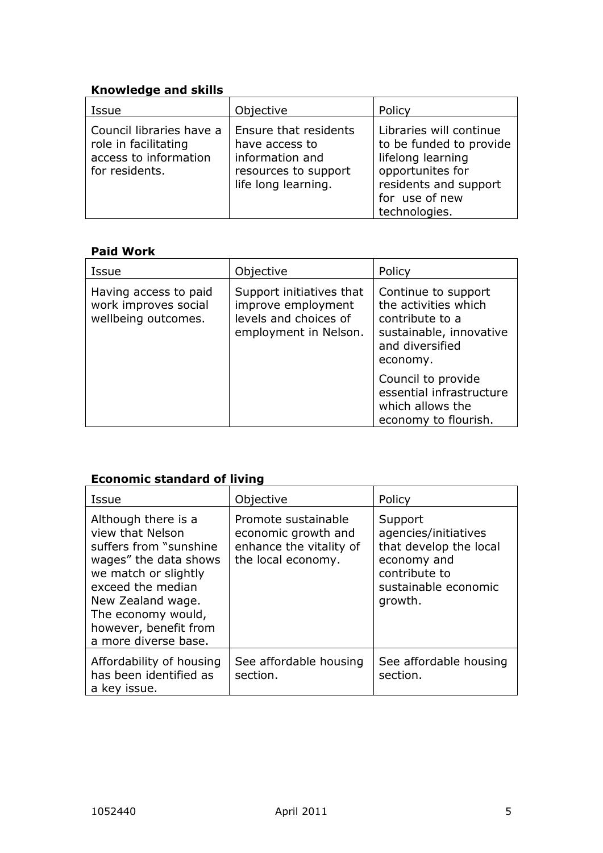# **Knowledge and skills**

| Issue                                                                                       | Objective                                                                                                 | Policy                                                                                                                                                  |
|---------------------------------------------------------------------------------------------|-----------------------------------------------------------------------------------------------------------|---------------------------------------------------------------------------------------------------------------------------------------------------------|
| Council libraries have a<br>role in facilitating<br>access to information<br>for residents. | Ensure that residents<br>have access to<br>information and<br>resources to support<br>life long learning. | Libraries will continue<br>to be funded to provide<br>lifelong learning<br>opportunites for<br>residents and support<br>for use of new<br>technologies. |

### **Paid Work**

| Issue                                                                | Objective                                                                                        | Policy                                                                                                                   |
|----------------------------------------------------------------------|--------------------------------------------------------------------------------------------------|--------------------------------------------------------------------------------------------------------------------------|
| Having access to paid<br>work improves social<br>wellbeing outcomes. | Support initiatives that<br>improve employment<br>levels and choices of<br>employment in Nelson. | Continue to support<br>the activities which<br>contribute to a<br>sustainable, innovative<br>and diversified<br>economy. |
|                                                                      |                                                                                                  | Council to provide<br>essential infrastructure<br>which allows the<br>economy to flourish.                               |

# **Economic standard of living**

| Issue                                                                                                                                                                                                                                | Objective                                                                                   | Policy                                                                                                                       |
|--------------------------------------------------------------------------------------------------------------------------------------------------------------------------------------------------------------------------------------|---------------------------------------------------------------------------------------------|------------------------------------------------------------------------------------------------------------------------------|
| Although there is a<br>view that Nelson<br>suffers from "sunshine"<br>wages" the data shows<br>we match or slightly<br>exceed the median<br>New Zealand wage.<br>The economy would,<br>however, benefit from<br>a more diverse base. | Promote sustainable<br>economic growth and<br>enhance the vitality of<br>the local economy. | Support<br>agencies/initiatives<br>that develop the local<br>economy and<br>contribute to<br>sustainable economic<br>growth. |
| Affordability of housing<br>has been identified as<br>a key issue.                                                                                                                                                                   | See affordable housing<br>section.                                                          | See affordable housing<br>section.                                                                                           |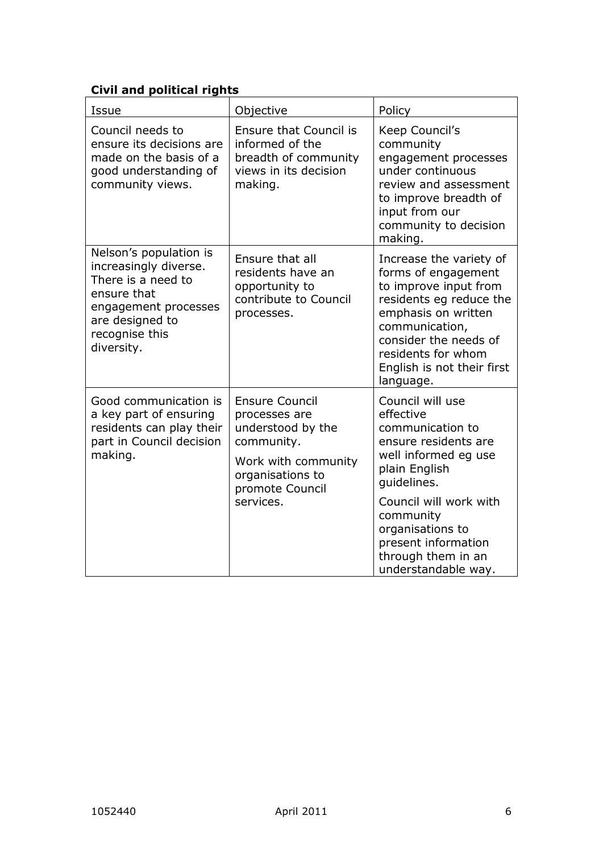# **Civil and political rights**

| Issue                                                                                                                                                           | Objective                                                                                                                                            | Policy                                                                                                                                                                                                                                                           |
|-----------------------------------------------------------------------------------------------------------------------------------------------------------------|------------------------------------------------------------------------------------------------------------------------------------------------------|------------------------------------------------------------------------------------------------------------------------------------------------------------------------------------------------------------------------------------------------------------------|
| Council needs to<br>ensure its decisions are<br>made on the basis of a<br>good understanding of<br>community views.                                             | <b>Ensure that Council is</b><br>informed of the<br>breadth of community<br>views in its decision<br>making.                                         | Keep Council's<br>community<br>engagement processes<br>under continuous<br>review and assessment<br>to improve breadth of<br>input from our<br>community to decision<br>making.                                                                                  |
| Nelson's population is<br>increasingly diverse.<br>There is a need to<br>ensure that<br>engagement processes<br>are designed to<br>recognise this<br>diversity. | Ensure that all<br>residents have an<br>opportunity to<br>contribute to Council<br>processes.                                                        | Increase the variety of<br>forms of engagement<br>to improve input from<br>residents eg reduce the<br>emphasis on written<br>communication,<br>consider the needs of<br>residents for whom<br>English is not their first<br>language.                            |
| Good communication is<br>a key part of ensuring<br>residents can play their<br>part in Council decision<br>making.                                              | <b>Ensure Council</b><br>processes are<br>understood by the<br>community.<br>Work with community<br>organisations to<br>promote Council<br>services. | Council will use<br>effective<br>communication to<br>ensure residents are<br>well informed eg use<br>plain English<br>quidelines.<br>Council will work with<br>community<br>organisations to<br>present information<br>through them in an<br>understandable way. |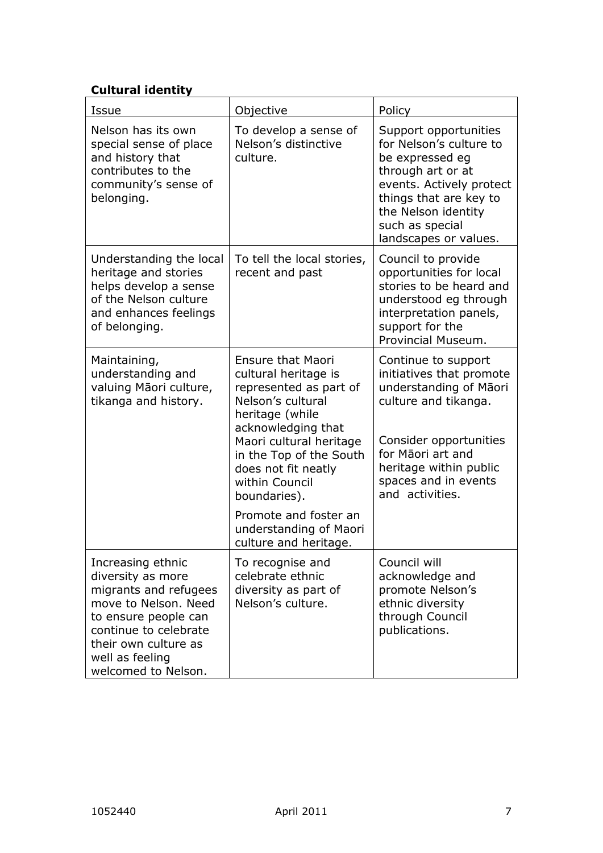# **Cultural identity**

| Issue                                                                                                                                                                                                      | Objective                                                                                                                                                                                                                                                                        | Policy                                                                                                                                                                                                                |
|------------------------------------------------------------------------------------------------------------------------------------------------------------------------------------------------------------|----------------------------------------------------------------------------------------------------------------------------------------------------------------------------------------------------------------------------------------------------------------------------------|-----------------------------------------------------------------------------------------------------------------------------------------------------------------------------------------------------------------------|
| Nelson has its own<br>special sense of place<br>and history that<br>contributes to the<br>community's sense of<br>belonging.                                                                               | To develop a sense of<br>Nelson's distinctive<br>culture.                                                                                                                                                                                                                        | Support opportunities<br>for Nelson's culture to<br>be expressed eg<br>through art or at<br>events. Actively protect<br>things that are key to<br>the Nelson identity<br>such as special<br>landscapes or values.     |
| Understanding the local<br>heritage and stories<br>helps develop a sense<br>of the Nelson culture<br>and enhances feelings<br>of belonging.                                                                | To tell the local stories,<br>recent and past                                                                                                                                                                                                                                    | Council to provide<br>opportunities for local<br>stories to be heard and<br>understood eg through<br>interpretation panels,<br>support for the<br>Provincial Museum.                                                  |
| Maintaining,<br>understanding and<br>valuing Māori culture,<br>tikanga and history.                                                                                                                        | <b>Ensure that Maori</b><br>cultural heritage is<br>represented as part of<br>Nelson's cultural<br>heritage (while<br>acknowledging that<br>Maori cultural heritage<br>in the Top of the South<br>does not fit neatly<br>within Council<br>boundaries).<br>Promote and foster an | Continue to support<br>initiatives that promote<br>understanding of Māori<br>culture and tikanga.<br>Consider opportunities<br>for Māori art and<br>heritage within public<br>spaces and in events<br>and activities. |
|                                                                                                                                                                                                            | understanding of Maori<br>culture and heritage.                                                                                                                                                                                                                                  |                                                                                                                                                                                                                       |
| Increasing ethnic<br>diversity as more<br>migrants and refugees<br>move to Nelson. Need<br>to ensure people can<br>continue to celebrate<br>their own culture as<br>well as feeling<br>welcomed to Nelson. | To recognise and<br>celebrate ethnic<br>diversity as part of<br>Nelson's culture.                                                                                                                                                                                                | Council will<br>acknowledge and<br>promote Nelson's<br>ethnic diversity<br>through Council<br>publications.                                                                                                           |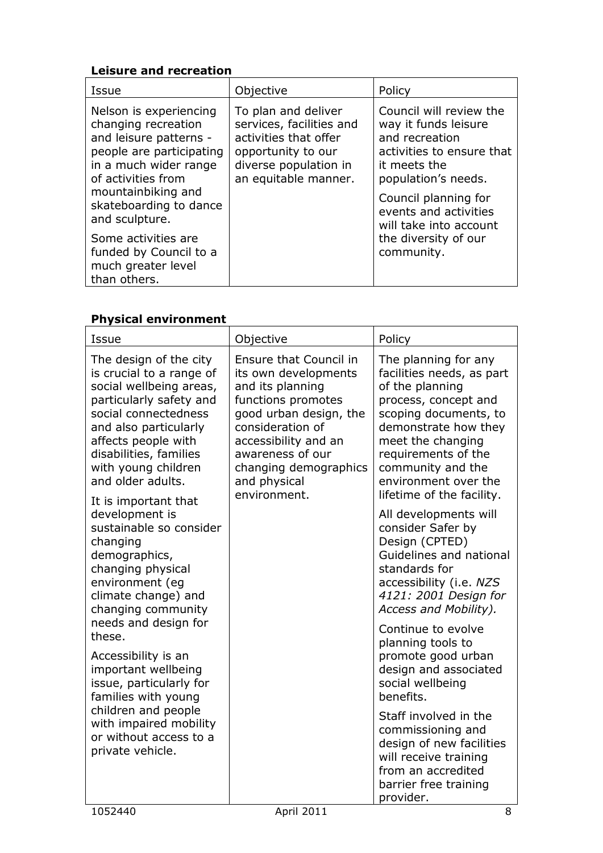## **Leisure and recreation**

| Issue                                                                                                                                              | Objective                                                                                                                                       | Policy                                                                                                                                |
|----------------------------------------------------------------------------------------------------------------------------------------------------|-------------------------------------------------------------------------------------------------------------------------------------------------|---------------------------------------------------------------------------------------------------------------------------------------|
| Nelson is experiencing<br>changing recreation<br>and leisure patterns -<br>people are participating<br>in a much wider range<br>of activities from | To plan and deliver<br>services, facilities and<br>activities that offer<br>opportunity to our<br>diverse population in<br>an equitable manner. | Council will review the<br>way it funds leisure<br>and recreation<br>activities to ensure that<br>it meets the<br>population's needs. |
| mountainbiking and<br>skateboarding to dance<br>and sculpture.                                                                                     |                                                                                                                                                 | Council planning for<br>events and activities<br>will take into account                                                               |
| Some activities are<br>funded by Council to a<br>much greater level<br>than others.                                                                |                                                                                                                                                 | the diversity of our<br>community.                                                                                                    |

# **Physical environment**

| Issue                                                                                                                                                                                                                                                  | Objective                                                                                                                                                                                                                                   | Policy                                                                                                                                                                                                                                                              |
|--------------------------------------------------------------------------------------------------------------------------------------------------------------------------------------------------------------------------------------------------------|---------------------------------------------------------------------------------------------------------------------------------------------------------------------------------------------------------------------------------------------|---------------------------------------------------------------------------------------------------------------------------------------------------------------------------------------------------------------------------------------------------------------------|
| The design of the city<br>is crucial to a range of<br>social wellbeing areas,<br>particularly safety and<br>social connectedness<br>and also particularly<br>affects people with<br>disabilities, families<br>with young children<br>and older adults. | Ensure that Council in<br>its own developments<br>and its planning<br>functions promotes<br>good urban design, the<br>consideration of<br>accessibility and an<br>awareness of our<br>changing demographics<br>and physical<br>environment. | The planning for any<br>facilities needs, as part<br>of the planning<br>process, concept and<br>scoping documents, to<br>demonstrate how they<br>meet the changing<br>requirements of the<br>community and the<br>environment over the<br>lifetime of the facility. |
| It is important that<br>development is<br>sustainable so consider<br>changing<br>demographics,<br>changing physical<br>environment (eg<br>climate change) and<br>changing community                                                                    |                                                                                                                                                                                                                                             | All developments will<br>consider Safer by<br>Design (CPTED)<br>Guidelines and national<br>standards for<br>accessibility (i.e. NZS<br>4121: 2001 Design for<br>Access and Mobility).                                                                               |
| needs and design for<br>these.<br>Accessibility is an<br>important wellbeing<br>issue, particularly for<br>families with young                                                                                                                         |                                                                                                                                                                                                                                             | Continue to evolve<br>planning tools to<br>promote good urban<br>design and associated<br>social wellbeing<br>benefits.                                                                                                                                             |
| children and people<br>with impaired mobility<br>or without access to a<br>private vehicle.                                                                                                                                                            |                                                                                                                                                                                                                                             | Staff involved in the<br>commissioning and<br>design of new facilities<br>will receive training<br>from an accredited<br>barrier free training<br>provider.                                                                                                         |
| 1052440                                                                                                                                                                                                                                                | <b>April 2011</b>                                                                                                                                                                                                                           | 8                                                                                                                                                                                                                                                                   |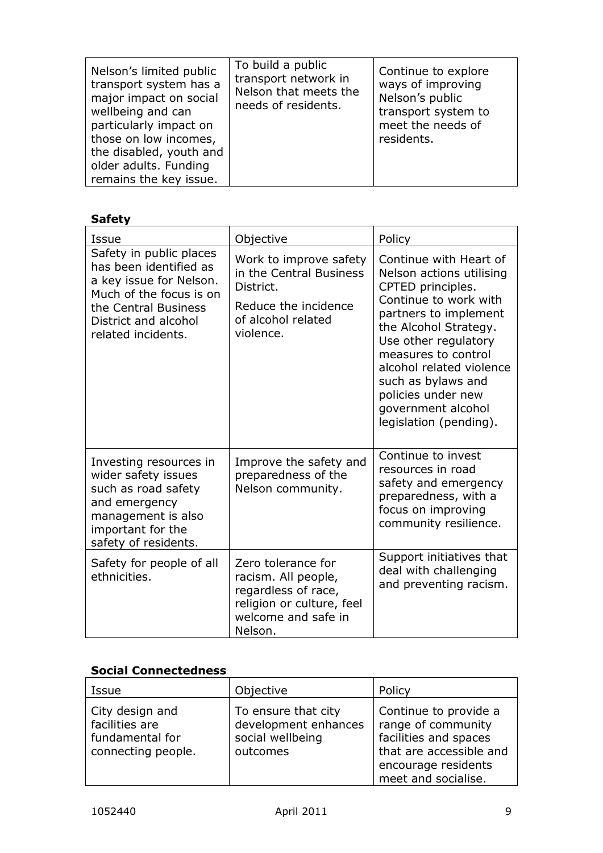| Nelson's limited public<br>transport system has a<br>major impact on social<br>wellbeing and can<br>particularly impact on<br>those on low incomes,<br>the disabled, youth and<br>older adults. Funding<br>remains the key issue. | To build a public<br>transport network in<br>Nelson that meets the<br>needs of residents. | Continue to explore<br>ways of improving<br>Nelson's public<br>transport system to<br>meet the needs of<br>residents. |
|-----------------------------------------------------------------------------------------------------------------------------------------------------------------------------------------------------------------------------------|-------------------------------------------------------------------------------------------|-----------------------------------------------------------------------------------------------------------------------|
|-----------------------------------------------------------------------------------------------------------------------------------------------------------------------------------------------------------------------------------|-------------------------------------------------------------------------------------------|-----------------------------------------------------------------------------------------------------------------------|

### **Safety**

| Issue                                                                                                                                                                         | Objective                                                                                                                       | Policy                                                                                                                                                                                                                                                                                                                    |
|-------------------------------------------------------------------------------------------------------------------------------------------------------------------------------|---------------------------------------------------------------------------------------------------------------------------------|---------------------------------------------------------------------------------------------------------------------------------------------------------------------------------------------------------------------------------------------------------------------------------------------------------------------------|
| Safety in public places<br>has been identified as<br>a key issue for Nelson.<br>Much of the focus is on<br>the Central Business<br>District and alcohol<br>related incidents. | Work to improve safety<br>in the Central Business<br>District.<br>Reduce the incidence<br>of alcohol related<br>violence.       | Continue with Heart of<br>Nelson actions utilising<br>CPTED principles.<br>Continue to work with<br>partners to implement<br>the Alcohol Strategy.<br>Use other regulatory<br>measures to control<br>alcohol related violence<br>such as bylaws and<br>policies under new<br>government alcohol<br>legislation (pending). |
| Investing resources in<br>wider safety issues<br>such as road safety<br>and emergency<br>management is also<br>important for the<br>safety of residents.                      | Improve the safety and<br>preparedness of the<br>Nelson community.                                                              | Continue to invest<br>resources in road<br>safety and emergency<br>preparedness, with a<br>focus on improving<br>community resilience.                                                                                                                                                                                    |
| Safety for people of all<br>ethnicities.                                                                                                                                      | Zero tolerance for<br>racism. All people,<br>regardless of race,<br>religion or culture, feel<br>welcome and safe in<br>Nelson. | Support initiatives that<br>deal with challenging<br>and preventing racism.                                                                                                                                                                                                                                               |

### **Social Connectedness**

| Issue                                                                      | Objective                                                                   | Policy                                                                                                                                        |
|----------------------------------------------------------------------------|-----------------------------------------------------------------------------|-----------------------------------------------------------------------------------------------------------------------------------------------|
| City design and<br>facilities are<br>fundamental for<br>connecting people. | To ensure that city<br>development enhances<br>social wellbeing<br>outcomes | Continue to provide a<br>range of community<br>facilities and spaces<br>that are accessible and<br>encourage residents<br>meet and socialise. |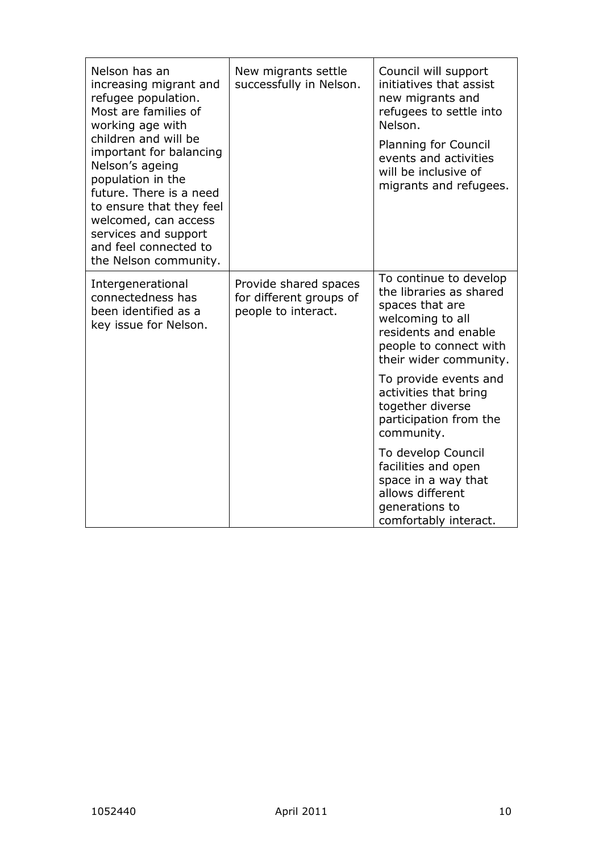| Nelson has an<br>increasing migrant and<br>refugee population.<br>Most are families of<br>working age with<br>children and will be<br>important for balancing<br>Nelson's ageing<br>population in the<br>future. There is a need<br>to ensure that they feel<br>welcomed, can access<br>services and support<br>and feel connected to<br>the Nelson community. | New migrants settle<br>successfully in Nelson.                          | Council will support<br>initiatives that assist<br>new migrants and<br>refugees to settle into<br>Nelson.<br><b>Planning for Council</b><br>events and activities<br>will be inclusive of<br>migrants and refugees. |
|----------------------------------------------------------------------------------------------------------------------------------------------------------------------------------------------------------------------------------------------------------------------------------------------------------------------------------------------------------------|-------------------------------------------------------------------------|---------------------------------------------------------------------------------------------------------------------------------------------------------------------------------------------------------------------|
| Intergenerational<br>connectedness has<br>been identified as a<br>key issue for Nelson.                                                                                                                                                                                                                                                                        | Provide shared spaces<br>for different groups of<br>people to interact. | To continue to develop<br>the libraries as shared<br>spaces that are<br>welcoming to all<br>residents and enable<br>people to connect with<br>their wider community.                                                |
|                                                                                                                                                                                                                                                                                                                                                                |                                                                         | To provide events and<br>activities that bring<br>together diverse<br>participation from the<br>community.                                                                                                          |
|                                                                                                                                                                                                                                                                                                                                                                |                                                                         | To develop Council<br>facilities and open<br>space in a way that<br>allows different<br>generations to<br>comfortably interact.                                                                                     |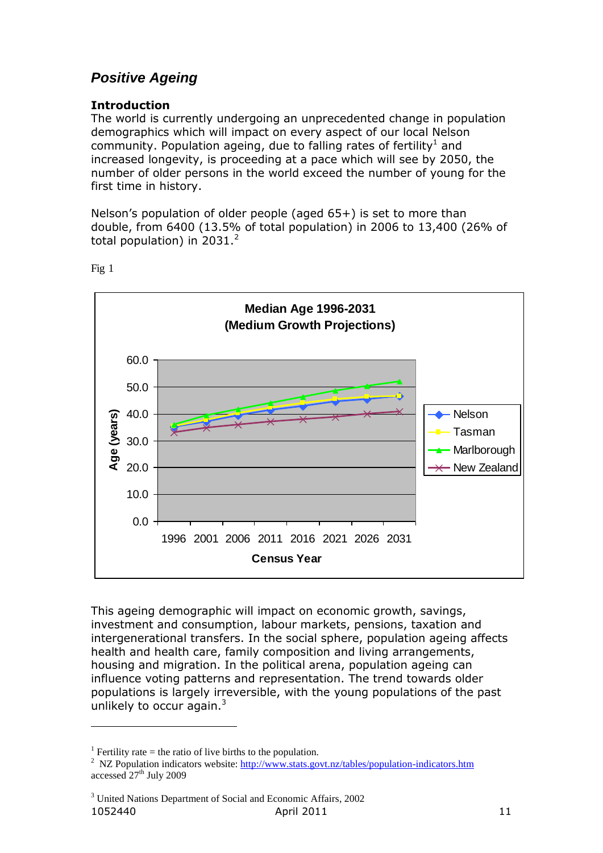# *Positive Ageing*

### **Introduction**

The world is currently undergoing an unprecedented change in population demographics which will impact on every aspect of our local Nelson community. Population ageing, due to falling rates of fertility<sup>1</sup> and increased longevity, is proceeding at a pace which will see by 2050, the number of older persons in the world exceed the number of young for the first time in history.

Nelson's population of older people (aged 65+) is set to more than double, from 6400 (13.5% of total population) in 2006 to 13,400 (26% of total population) in  $2031.<sup>2</sup>$ 



Fig 1

 $\overline{a}$ 

This ageing demographic will impact on economic growth, savings, investment and consumption, labour markets, pensions, taxation and intergenerational transfers. In the social sphere, population ageing affects health and health care, family composition and living arrangements, housing and migration. In the political arena, population ageing can influence voting patterns and representation. The trend towards older populations is largely irreversible, with the young populations of the past unlikely to occur again. $3$ 

<sup>&</sup>lt;sup>1</sup> Fertility rate = the ratio of live births to the population.

<sup>&</sup>lt;sup>2</sup> NZ Population indicators website:<http://www.stats.govt.nz/tables/population-indicators.htm> accessed 27<sup>th</sup> July 2009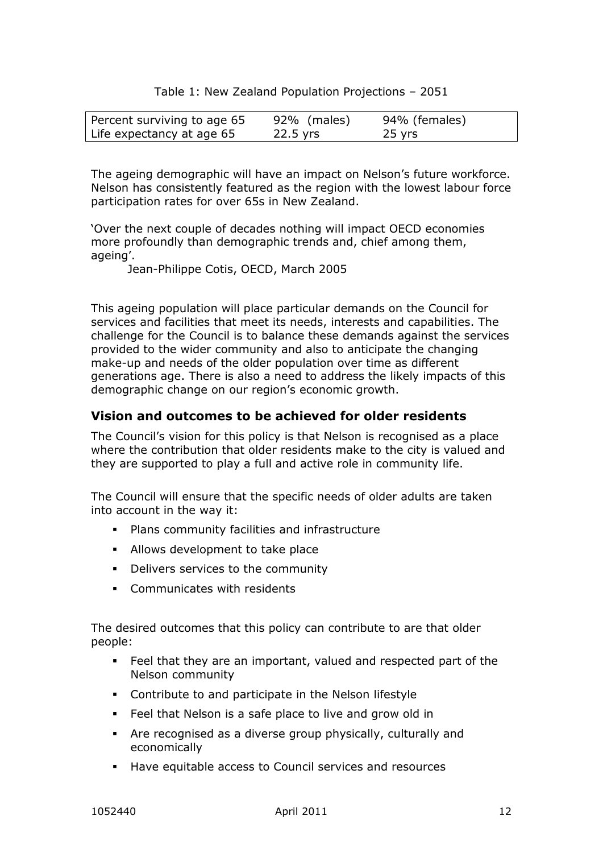|  |  |  |  | Table 1: New Zealand Population Projections - 2051 |  |
|--|--|--|--|----------------------------------------------------|--|
|--|--|--|--|----------------------------------------------------|--|

| Percent surviving to age 65 | 92% (males) | 94% (females) |
|-----------------------------|-------------|---------------|
| Life expectancy at age 65   | $22.5$ yrs  | 25 yrs        |

The ageing demographic will have an impact on Nelson"s future workforce. Nelson has consistently featured as the region with the lowest labour force participation rates for over 65s in New Zealand.

"Over the next couple of decades nothing will impact OECD economies more profoundly than demographic trends and, chief among them, ageing'.

Jean-Philippe Cotis, OECD, March 2005

This ageing population will place particular demands on the Council for services and facilities that meet its needs, interests and capabilities. The challenge for the Council is to balance these demands against the services provided to the wider community and also to anticipate the changing make-up and needs of the older population over time as different generations age. There is also a need to address the likely impacts of this demographic change on our region's economic growth.

### **Vision and outcomes to be achieved for older residents**

The Council's vision for this policy is that Nelson is recognised as a place where the contribution that older residents make to the city is valued and they are supported to play a full and active role in community life.

The Council will ensure that the specific needs of older adults are taken into account in the way it:

- Plans community facilities and infrastructure
- **Allows development to take place**
- Delivers services to the community
- **Communicates with residents**

The desired outcomes that this policy can contribute to are that older people:

- Feel that they are an important, valued and respected part of the Nelson community
- Contribute to and participate in the Nelson lifestyle
- Feel that Nelson is a safe place to live and grow old in
- Are recognised as a diverse group physically, culturally and economically
- Have equitable access to Council services and resources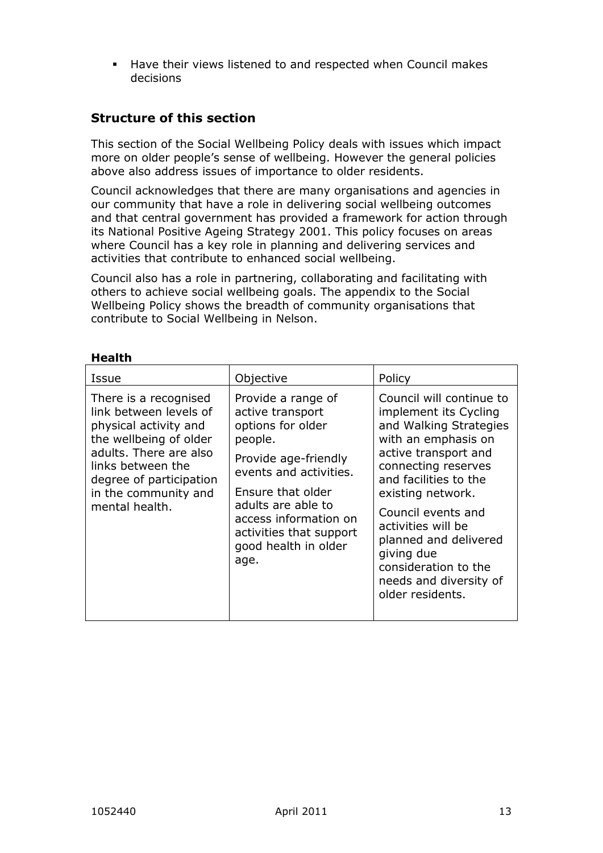Have their views listened to and respected when Council makes decisions

# **Structure of this section**

This section of the Social Wellbeing Policy deals with issues which impact more on older people"s sense of wellbeing. However the general policies above also address issues of importance to older residents.

Council acknowledges that there are many organisations and agencies in our community that have a role in delivering social wellbeing outcomes and that central government has provided a framework for action through its National Positive Ageing Strategy 2001. This policy focuses on areas where Council has a key role in planning and delivering services and activities that contribute to enhanced social wellbeing.

Council also has a role in partnering, collaborating and facilitating with others to achieve social wellbeing goals. The appendix to the Social Wellbeing Policy shows the breadth of community organisations that contribute to Social Wellbeing in Nelson.

| Issue                                                                                                                                                                                                                  | Objective                                                                                                                                                                                                                                               | Policy                                                                                                                                                                                                                                                                                                                                                   |
|------------------------------------------------------------------------------------------------------------------------------------------------------------------------------------------------------------------------|---------------------------------------------------------------------------------------------------------------------------------------------------------------------------------------------------------------------------------------------------------|----------------------------------------------------------------------------------------------------------------------------------------------------------------------------------------------------------------------------------------------------------------------------------------------------------------------------------------------------------|
| There is a recognised<br>link between levels of<br>physical activity and<br>the wellbeing of older<br>adults. There are also<br>links between the<br>degree of participation<br>in the community and<br>mental health. | Provide a range of<br>active transport<br>options for older<br>people.<br>Provide age-friendly<br>events and activities.<br>Ensure that older<br>adults are able to<br>access information on<br>activities that support<br>good health in older<br>age. | Council will continue to<br>implement its Cycling<br>and Walking Strategies<br>with an emphasis on<br>active transport and<br>connecting reserves<br>and facilities to the<br>existing network.<br>Council events and<br>activities will be<br>planned and delivered<br>giving due<br>consideration to the<br>needs and diversity of<br>older residents. |

#### **Health**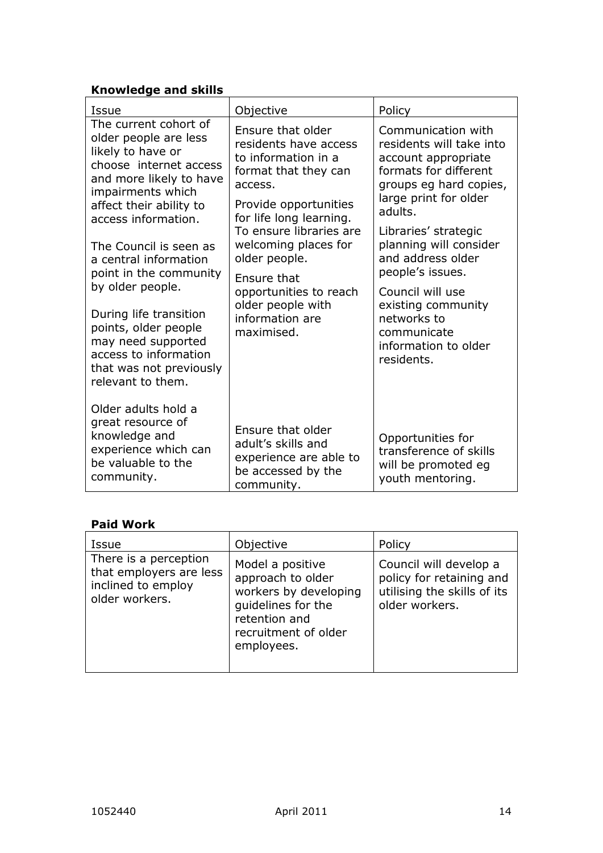### **Knowledge and skills**

| Issue                                                                                                                                                                                                                                                                                                                                                                                                                                             | Objective                                                                                                                                                                                                                                                                                                                   | Policy                                                                                                                                                                                                                                                                                                                                                                |
|---------------------------------------------------------------------------------------------------------------------------------------------------------------------------------------------------------------------------------------------------------------------------------------------------------------------------------------------------------------------------------------------------------------------------------------------------|-----------------------------------------------------------------------------------------------------------------------------------------------------------------------------------------------------------------------------------------------------------------------------------------------------------------------------|-----------------------------------------------------------------------------------------------------------------------------------------------------------------------------------------------------------------------------------------------------------------------------------------------------------------------------------------------------------------------|
| The current cohort of<br>older people are less<br>likely to have or<br>choose internet access<br>and more likely to have<br>impairments which<br>affect their ability to<br>access information.<br>The Council is seen as<br>a central information<br>point in the community<br>by older people.<br>During life transition<br>points, older people<br>may need supported<br>access to information<br>that was not previously<br>relevant to them. | Ensure that older<br>residents have access<br>to information in a<br>format that they can<br>access.<br>Provide opportunities<br>for life long learning.<br>To ensure libraries are<br>welcoming places for<br>older people.<br>Ensure that<br>opportunities to reach<br>older people with<br>information are<br>maximised. | Communication with<br>residents will take into<br>account appropriate<br>formats for different<br>groups eg hard copies,<br>large print for older<br>adults.<br>Libraries' strategic<br>planning will consider<br>and address older<br>people's issues.<br>Council will use<br>existing community<br>networks to<br>communicate<br>information to older<br>residents. |
| Older adults hold a<br>great resource of<br>knowledge and<br>experience which can<br>be valuable to the<br>community.                                                                                                                                                                                                                                                                                                                             | Ensure that older<br>adult's skills and<br>experience are able to<br>be accessed by the<br>community.                                                                                                                                                                                                                       | Opportunities for<br>transference of skills<br>will be promoted eg<br>youth mentoring.                                                                                                                                                                                                                                                                                |

## **Paid Work**

| Issue                                                                                    | Objective                                                                                                                                   | Policy                                                                                              |
|------------------------------------------------------------------------------------------|---------------------------------------------------------------------------------------------------------------------------------------------|-----------------------------------------------------------------------------------------------------|
| There is a perception<br>that employers are less<br>inclined to employ<br>older workers. | Model a positive<br>approach to older<br>workers by developing<br>quidelines for the<br>retention and<br>recruitment of older<br>employees. | Council will develop a<br>policy for retaining and<br>utilising the skills of its<br>older workers. |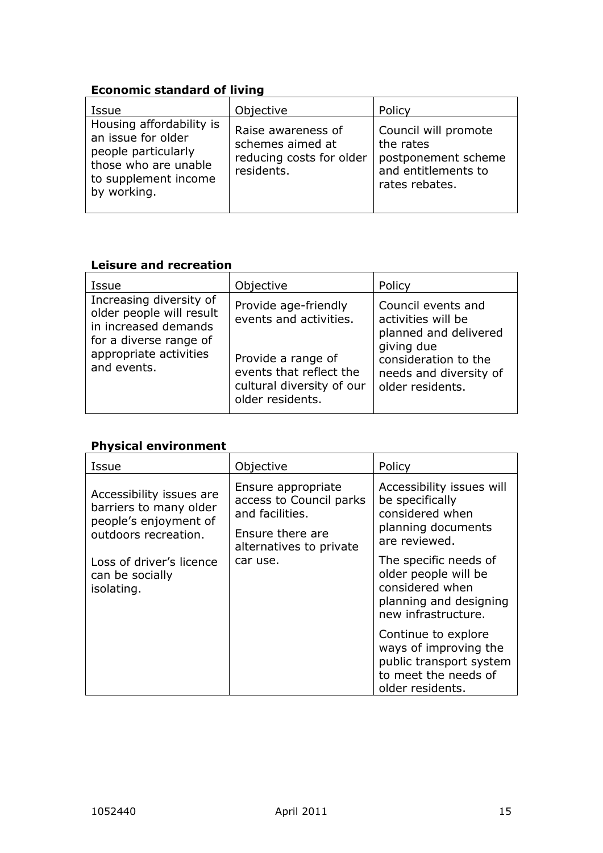# **Economic standard of living**

| Issue                                                                                                                                | Objective                                                                        | Policy                                                                                            |
|--------------------------------------------------------------------------------------------------------------------------------------|----------------------------------------------------------------------------------|---------------------------------------------------------------------------------------------------|
| Housing affordability is<br>an issue for older<br>people particularly<br>those who are unable<br>to supplement income<br>by working. | Raise awareness of<br>schemes aimed at<br>reducing costs for older<br>residents. | Council will promote<br>the rates<br>postponement scheme<br>and entitlements to<br>rates rebates. |

# **Leisure and recreation**

| Issue                                                                                                                                          | Objective                                                                                                                                        | Policy                                                                                                                                                |
|------------------------------------------------------------------------------------------------------------------------------------------------|--------------------------------------------------------------------------------------------------------------------------------------------------|-------------------------------------------------------------------------------------------------------------------------------------------------------|
| Increasing diversity of<br>older people will result<br>in increased demands<br>for a diverse range of<br>appropriate activities<br>and events. | Provide age-friendly<br>events and activities.<br>Provide a range of<br>events that reflect the<br>cultural diversity of our<br>older residents. | Council events and<br>activities will be<br>planned and delivered<br>giving due<br>consideration to the<br>needs and diversity of<br>older residents. |

### **Physical environment**

| Issue                                                                                               | Objective                                                                                                       | Policy                                                                                                              |
|-----------------------------------------------------------------------------------------------------|-----------------------------------------------------------------------------------------------------------------|---------------------------------------------------------------------------------------------------------------------|
| Accessibility issues are<br>barriers to many older<br>people's enjoyment of<br>outdoors recreation. | Ensure appropriate<br>access to Council parks<br>and facilities.<br>Ensure there are<br>alternatives to private | Accessibility issues will<br>be specifically<br>considered when<br>planning documents<br>are reviewed.              |
| Loss of driver's licence<br>can be socially<br>isolating.                                           | car use.                                                                                                        | The specific needs of<br>older people will be<br>considered when<br>planning and designing<br>new infrastructure.   |
|                                                                                                     |                                                                                                                 | Continue to explore<br>ways of improving the<br>public transport system<br>to meet the needs of<br>older residents. |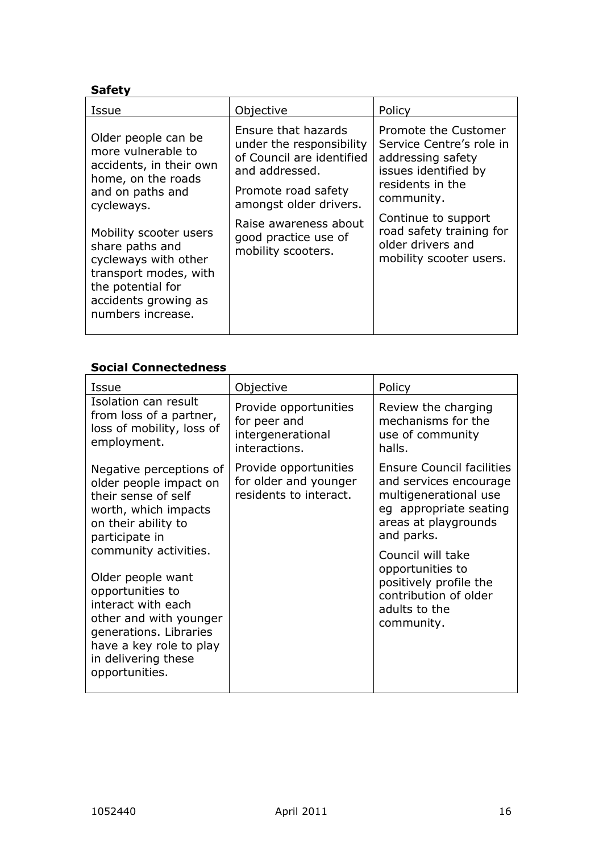### **Safety**

# **Social Connectedness**

| Issue                                                                                                                                                                                                        | Objective                                                                   | Policy                                                                                                                                              |
|--------------------------------------------------------------------------------------------------------------------------------------------------------------------------------------------------------------|-----------------------------------------------------------------------------|-----------------------------------------------------------------------------------------------------------------------------------------------------|
| Isolation can result<br>from loss of a partner,<br>loss of mobility, loss of<br>employment.                                                                                                                  | Provide opportunities<br>for peer and<br>intergenerational<br>interactions. | Review the charging<br>mechanisms for the<br>use of community<br>halls.                                                                             |
| Negative perceptions of<br>older people impact on<br>their sense of self<br>worth, which impacts<br>on their ability to<br>participate in                                                                    | Provide opportunities<br>for older and younger<br>residents to interact.    | <b>Ensure Council facilities</b><br>and services encourage<br>multigenerational use<br>eg appropriate seating<br>areas at playgrounds<br>and parks. |
| community activities.<br>Older people want<br>opportunities to<br>interact with each<br>other and with younger<br>generations. Libraries<br>have a key role to play<br>in delivering these<br>opportunities. |                                                                             | Council will take<br>opportunities to<br>positively profile the<br>contribution of older<br>adults to the<br>community.                             |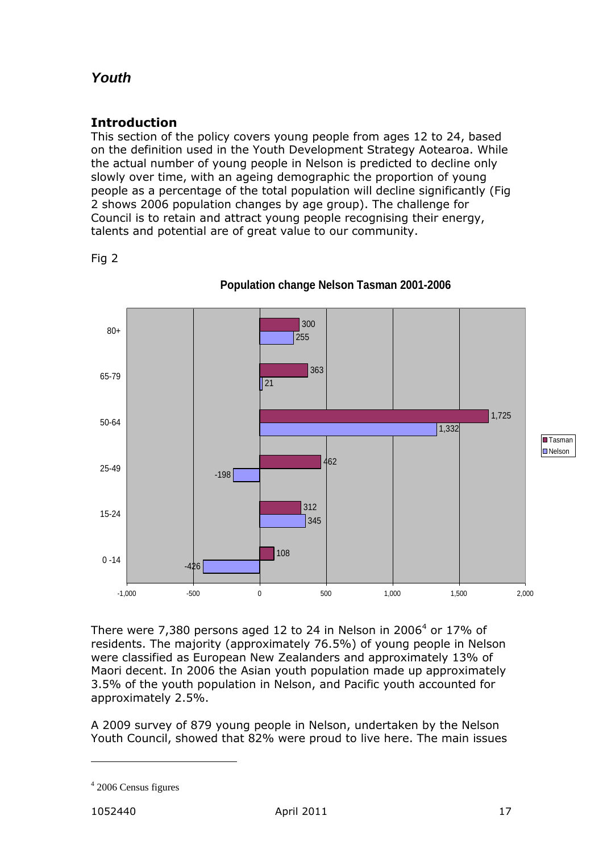# *Youth*

### **Introduction**

This section of the policy covers young people from ages 12 to 24, based on the definition used in the Youth Development Strategy Aotearoa. While the actual number of young people in Nelson is predicted to decline only slowly over time, with an ageing demographic the proportion of young people as a percentage of the total population will decline significantly (Fig 2 shows 2006 population changes by age group). The challenge for Council is to retain and attract young people recognising their energy, talents and potential are of great value to our community.



Fig 2

There were 7,380 persons aged 12 to 24 in Nelson in 2006<sup>4</sup> or 17% of residents. The majority (approximately 76.5%) of young people in Nelson were classified as European New Zealanders and approximately 13% of Maori decent. In 2006 the Asian youth population made up approximately 3.5% of the youth population in Nelson, and Pacific youth accounted for approximately 2.5%.

A 2009 survey of 879 young people in Nelson, undertaken by the Nelson Youth Council, showed that 82% were proud to live here. The main issues

 $\overline{a}$ 

 $42006$  Census figures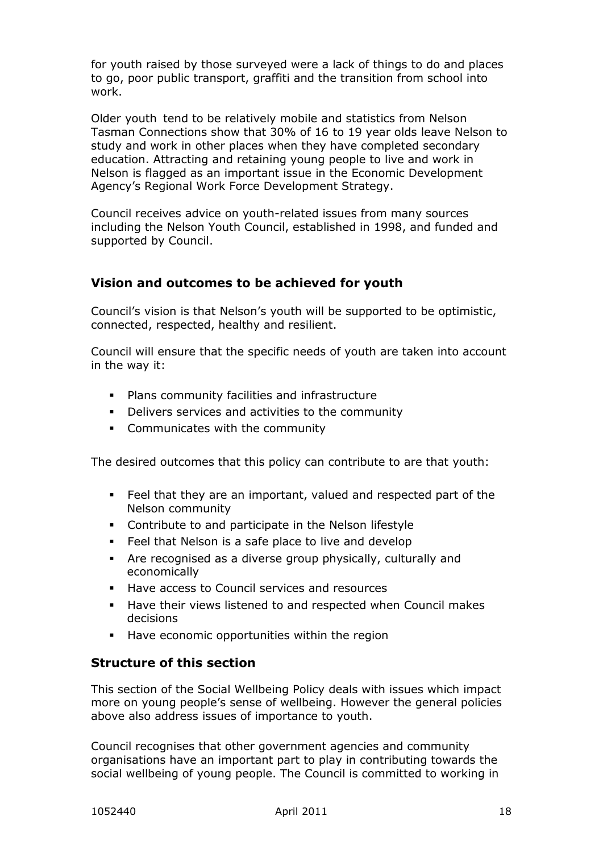for youth raised by those surveyed were a lack of things to do and places to go, poor public transport, graffiti and the transition from school into work.

Older youth tend to be relatively mobile and statistics from Nelson Tasman Connections show that 30% of 16 to 19 year olds leave Nelson to study and work in other places when they have completed secondary education. Attracting and retaining young people to live and work in Nelson is flagged as an important issue in the Economic Development Agency"s Regional Work Force Development Strategy.

Council receives advice on youth-related issues from many sources including the Nelson Youth Council, established in 1998, and funded and supported by Council.

# **Vision and outcomes to be achieved for youth**

Council"s vision is that Nelson"s youth will be supported to be optimistic, connected, respected, healthy and resilient.

Council will ensure that the specific needs of youth are taken into account in the way it:

- Plans community facilities and infrastructure
- **•** Delivers services and activities to the community
- Communicates with the community

The desired outcomes that this policy can contribute to are that youth:

- Feel that they are an important, valued and respected part of the Nelson community
- Contribute to and participate in the Nelson lifestyle
- Feel that Nelson is a safe place to live and develop
- Are recognised as a diverse group physically, culturally and economically
- Have access to Council services and resources
- Have their views listened to and respected when Council makes decisions
- Have economic opportunities within the region

### **Structure of this section**

This section of the Social Wellbeing Policy deals with issues which impact more on young people"s sense of wellbeing. However the general policies above also address issues of importance to youth.

Council recognises that other government agencies and community organisations have an important part to play in contributing towards the social wellbeing of young people. The Council is committed to working in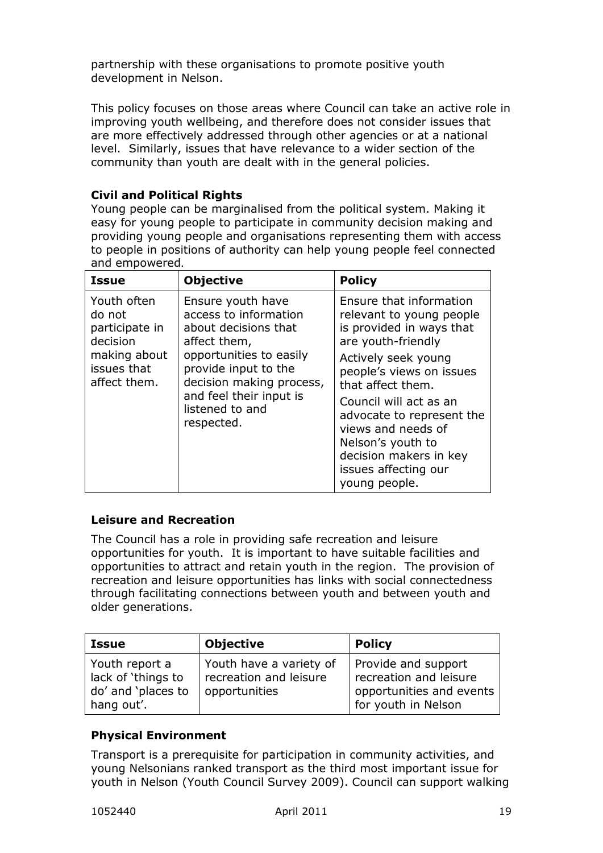partnership with these organisations to promote positive youth development in Nelson.

This policy focuses on those areas where Council can take an active role in improving youth wellbeing, and therefore does not consider issues that are more effectively addressed through other agencies or at a national level. Similarly, issues that have relevance to a wider section of the community than youth are dealt with in the general policies.

### **Civil and Political Rights**

Young people can be marginalised from the political system. Making it easy for young people to participate in community decision making and providing young people and organisations representing them with access to people in positions of authority can help young people feel connected and empowered.

| <b>Issue</b>                                                                                       | <b>Objective</b>                                                                                                                                                                                                              | <b>Policy</b>                                                                                                                                                                                                                                                                                                                                      |
|----------------------------------------------------------------------------------------------------|-------------------------------------------------------------------------------------------------------------------------------------------------------------------------------------------------------------------------------|----------------------------------------------------------------------------------------------------------------------------------------------------------------------------------------------------------------------------------------------------------------------------------------------------------------------------------------------------|
| Youth often<br>do not<br>participate in<br>decision<br>making about<br>issues that<br>affect them. | Ensure youth have<br>access to information<br>about decisions that<br>affect them,<br>opportunities to easily<br>provide input to the<br>decision making process,<br>and feel their input is<br>listened to and<br>respected. | Ensure that information<br>relevant to young people<br>is provided in ways that<br>are youth-friendly<br>Actively seek young<br>people's views on issues<br>that affect them.<br>Council will act as an<br>advocate to represent the<br>views and needs of<br>Nelson's youth to<br>decision makers in key<br>issues affecting our<br>young people. |

### **Leisure and Recreation**

The Council has a role in providing safe recreation and leisure opportunities for youth. It is important to have suitable facilities and opportunities to attract and retain youth in the region. The provision of recreation and leisure opportunities has links with social connectedness through facilitating connections between youth and between youth and older generations.

| <b>Issue</b>                                                             | <b>Objective</b>                                                   | <b>Policy</b>                                                                                    |
|--------------------------------------------------------------------------|--------------------------------------------------------------------|--------------------------------------------------------------------------------------------------|
| Youth report a<br>lack of 'things to<br>do' and 'places to<br>hang out'. | Youth have a variety of<br>recreation and leisure<br>opportunities | Provide and support<br>recreation and leisure<br>opportunities and events<br>for youth in Nelson |

### **Physical Environment**

Transport is a prerequisite for participation in community activities, and young Nelsonians ranked transport as the third most important issue for youth in Nelson (Youth Council Survey 2009). Council can support walking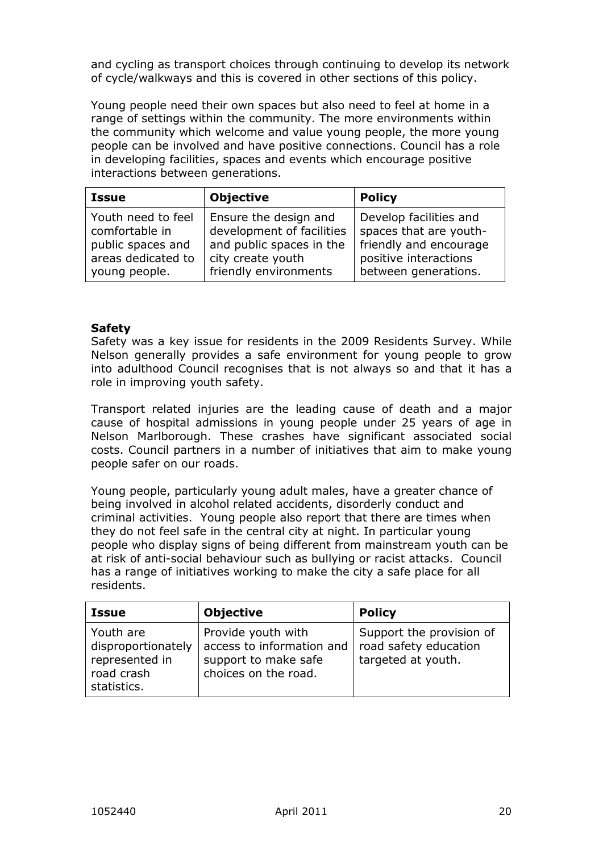and cycling as transport choices through continuing to develop its network of cycle/walkways and this is covered in other sections of this policy.

Young people need their own spaces but also need to feel at home in a range of settings within the community. The more environments within the community which welcome and value young people, the more young people can be involved and have positive connections. Council has a role in developing facilities, spaces and events which encourage positive interactions between generations.

| <b>Issue</b>       | <b>Objective</b>          | <b>Policy</b>          |
|--------------------|---------------------------|------------------------|
| Youth need to feel | Ensure the design and     | Develop facilities and |
| comfortable in     | development of facilities | spaces that are youth- |
| public spaces and  | and public spaces in the  | friendly and encourage |
| areas dedicated to | city create youth         | positive interactions  |
| young people.      | friendly environments     | between generations.   |

#### **Safety**

Safety was a key issue for residents in the 2009 Residents Survey. While Nelson generally provides a safe environment for young people to grow into adulthood Council recognises that is not always so and that it has a role in improving youth safety.

Transport related injuries are the leading cause of death and a major cause of hospital admissions in young people under 25 years of age in Nelson Marlborough. These crashes have significant associated social costs. Council partners in a number of initiatives that aim to make young people safer on our roads.

Young people, particularly young adult males, have a greater chance of being involved in alcohol related accidents, disorderly conduct and criminal activities. Young people also report that there are times when they do not feel safe in the central city at night. In particular young people who display signs of being different from mainstream youth can be at risk of anti-social behaviour such as bullying or racist attacks. Council has a range of initiatives working to make the city a safe place for all residents.

| <b>Issue</b>                                                                   | <b>Objective</b>                                                                                | <b>Policy</b>                                                           |
|--------------------------------------------------------------------------------|-------------------------------------------------------------------------------------------------|-------------------------------------------------------------------------|
| Youth are<br>disproportionately<br>represented in<br>road crash<br>statistics. | Provide youth with<br>access to information and<br>support to make safe<br>choices on the road. | Support the provision of<br>road safety education<br>targeted at youth. |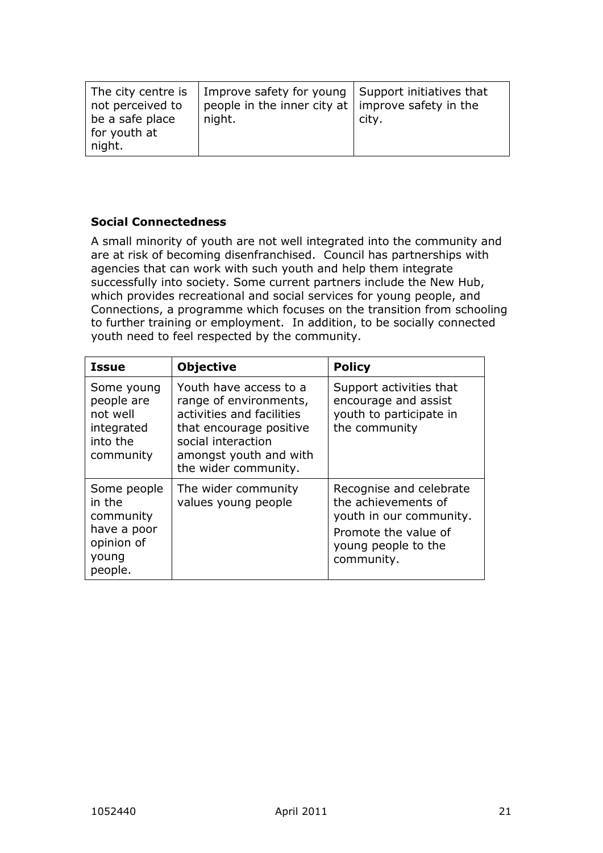| The city centre is<br>not perceived to<br>be a safe place<br>for youth at<br>night. | Improve safety for young   Support initiatives that<br>people in the inner city at $ $ improve safety in the<br>night. | city. |
|-------------------------------------------------------------------------------------|------------------------------------------------------------------------------------------------------------------------|-------|
|-------------------------------------------------------------------------------------|------------------------------------------------------------------------------------------------------------------------|-------|

### **Social Connectedness**

A small minority of youth are not well integrated into the community and are at risk of becoming disenfranchised. Council has partnerships with agencies that can work with such youth and help them integrate successfully into society. Some current partners include the New Hub, which provides recreational and social services for young people, and Connections, a programme which focuses on the transition from schooling to further training or employment. In addition, to be socially connected youth need to feel respected by the community.

| <b>Issue</b>                                                                        | <b>Objective</b>                                                                                                                                                                 | <b>Policy</b>                                                                                                                          |
|-------------------------------------------------------------------------------------|----------------------------------------------------------------------------------------------------------------------------------------------------------------------------------|----------------------------------------------------------------------------------------------------------------------------------------|
| Some young<br>people are<br>not well<br>integrated<br>into the<br>community         | Youth have access to a<br>range of environments,<br>activities and facilities<br>that encourage positive<br>social interaction<br>amongst youth and with<br>the wider community. | Support activities that<br>encourage and assist<br>youth to participate in<br>the community                                            |
| Some people<br>in the<br>community<br>have a poor<br>opinion of<br>young<br>people. | The wider community<br>values young people                                                                                                                                       | Recognise and celebrate<br>the achievements of<br>youth in our community.<br>Promote the value of<br>young people to the<br>community. |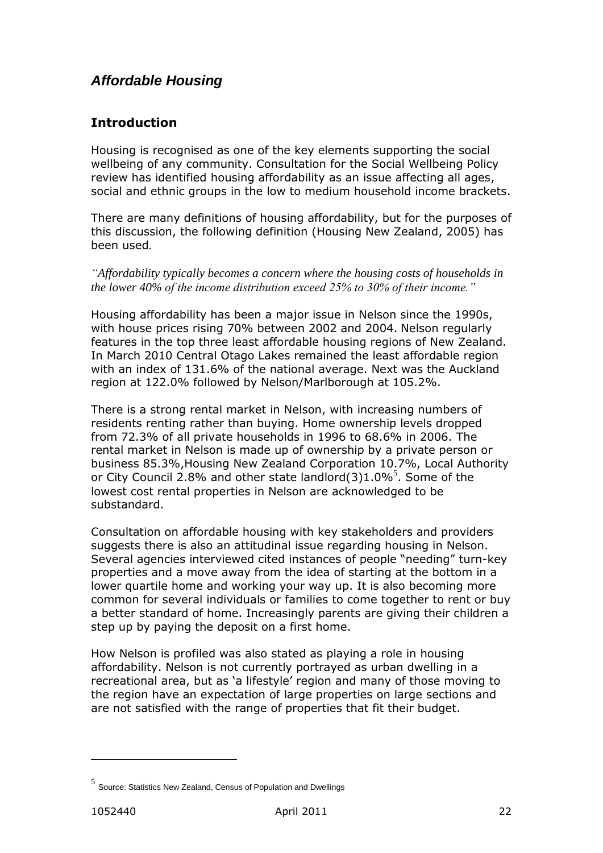# *Affordable Housing*

### **Introduction**

Housing is recognised as one of the key elements supporting the social wellbeing of any community. Consultation for the Social Wellbeing Policy review has identified housing affordability as an issue affecting all ages, social and ethnic groups in the low to medium household income brackets.

There are many definitions of housing affordability, but for the purposes of this discussion, the following definition (Housing New Zealand, 2005) has been used.

*"Affordability typically becomes a concern where the housing costs of households in the lower 40% of the income distribution exceed 25% to 30% of their income."*

Housing affordability has been a major issue in Nelson since the 1990s, with house prices rising 70% between 2002 and 2004. Nelson regularly features in the top three least affordable housing regions of New Zealand. In March 2010 Central Otago Lakes remained the least affordable region with an index of 131.6% of the national average. Next was the Auckland region at 122.0% followed by Nelson/Marlborough at 105.2%.

There is a strong rental market in Nelson, with increasing numbers of residents renting rather than buying. Home ownership levels dropped from 72.3% of all private households in 1996 to 68.6% in 2006. The rental market in Nelson is made up of ownership by a private person or business 85.3%,Housing New Zealand Corporation 10.7%, Local Authority or City Council 2.8% and other state landlord $(3)1.0\%$ <sup>5</sup>. Some of the lowest cost rental properties in Nelson are acknowledged to be substandard.

Consultation on affordable housing with key stakeholders and providers suggests there is also an attitudinal issue regarding housing in Nelson. Several agencies interviewed cited instances of people "needing" turn-key properties and a move away from the idea of starting at the bottom in a lower quartile home and working your way up. It is also becoming more common for several individuals or families to come together to rent or buy a better standard of home. Increasingly parents are giving their children a step up by paying the deposit on a first home.

How Nelson is profiled was also stated as playing a role in housing affordability. Nelson is not currently portrayed as urban dwelling in a recreational area, but as "a lifestyle" region and many of those moving to the region have an expectation of large properties on large sections and are not satisfied with the range of properties that fit their budget.

 $\overline{a}$ 

<sup>5</sup> Source: Statistics New Zealand, Census of Population and Dwellings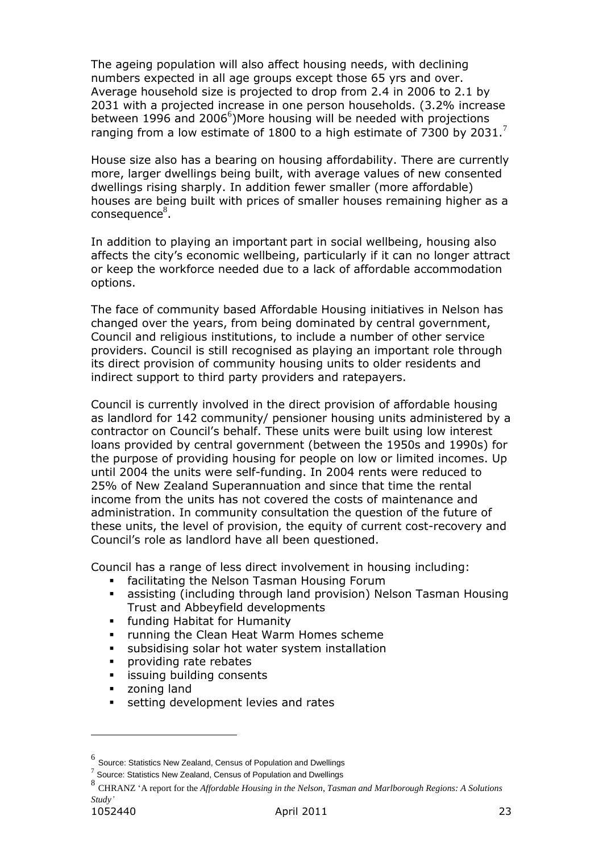The ageing population will also affect housing needs, with declining numbers expected in all age groups except those 65 yrs and over. Average household size is projected to drop from 2.4 in 2006 to 2.1 by 2031 with a projected increase in one person households. (3.2% increase between 1996 and 2006<sup>6</sup>)More housing will be needed with projections ranging from a low estimate of 1800 to a high estimate of 7300 by 2031.<sup>7</sup>

House size also has a bearing on housing affordability. There are currently more, larger dwellings being built, with average values of new consented dwellings rising sharply. In addition fewer smaller (more affordable) houses are being built with prices of smaller houses remaining higher as a  $consequence<sup>8</sup>$ .

In addition to playing an important part in social wellbeing, housing also affects the city"s economic wellbeing, particularly if it can no longer attract or keep the workforce needed due to a lack of affordable accommodation options.

The face of community based Affordable Housing initiatives in Nelson has changed over the years, from being dominated by central government, Council and religious institutions, to include a number of other service providers. Council is still recognised as playing an important role through its direct provision of community housing units to older residents and indirect support to third party providers and ratepayers.

Council is currently involved in the direct provision of affordable housing as landlord for 142 community/ pensioner housing units administered by a contractor on Council"s behalf. These units were built using low interest loans provided by central government (between the 1950s and 1990s) for the purpose of providing housing for people on low or limited incomes. Up until 2004 the units were self-funding. In 2004 rents were reduced to 25% of New Zealand Superannuation and since that time the rental income from the units has not covered the costs of maintenance and administration. In community consultation the question of the future of these units, the level of provision, the equity of current cost-recovery and Council"s role as landlord have all been questioned.

Council has a range of less direct involvement in housing including:

- facilitating the Nelson Tasman Housing Forum
- assisting (including through land provision) Nelson Tasman Housing Trust and Abbeyfield developments
- **Funding Habitat for Humanity**
- **running the Clean Heat Warm Homes scheme**
- subsidising solar hot water system installation
- **•** providing rate rebates
- **Example issuing building consents**<br>**EXAMPLE 2016 12:43 FMPL**
- zoning land
- setting development levies and rates

 $\overline{a}$ 

 $^6$  Source: Statistics New Zealand, Census of Population and Dwellings

 $<sup>7</sup>$  Source: Statistics New Zealand, Census of Population and Dwellings</sup>

<sup>8</sup> CHRANZ 'A report for the *Affordable Housing in the Nelson, Tasman and Marlborough Regions: A Solutions Study'*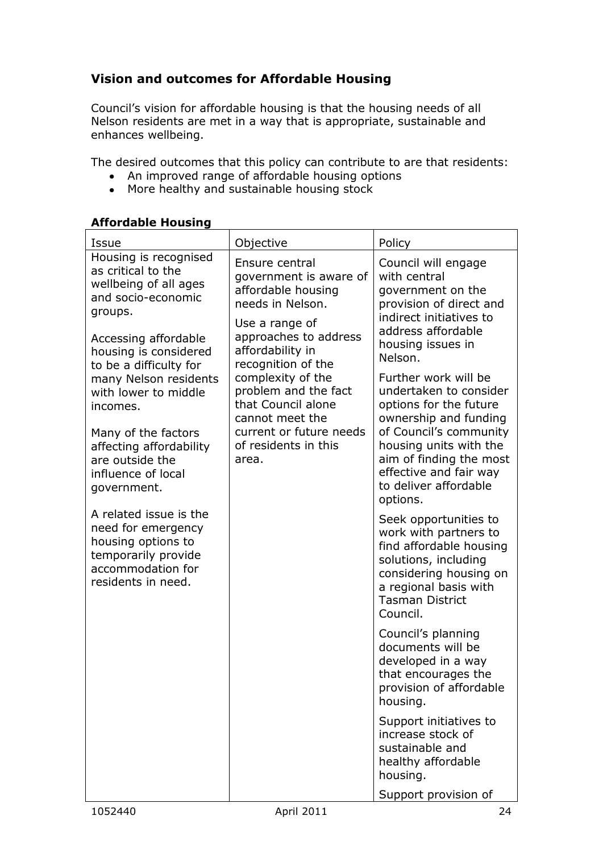# **Vision and outcomes for Affordable Housing**

Council"s vision for affordable housing is that the housing needs of all Nelson residents are met in a way that is appropriate, sustainable and enhances wellbeing.

The desired outcomes that this policy can contribute to are that residents:

- An improved range of affordable housing options
- More healthy and sustainable housing stock

#### **Affordable Housing**

| Issue                                                                                                                                                                            |                                                                                                                                                                         |                                                                                                                                                                                            |
|----------------------------------------------------------------------------------------------------------------------------------------------------------------------------------|-------------------------------------------------------------------------------------------------------------------------------------------------------------------------|--------------------------------------------------------------------------------------------------------------------------------------------------------------------------------------------|
| Housing is recognised<br>as critical to the<br>wellbeing of all ages<br>and socio-economic<br>groups.<br>Accessing affordable<br>housing is considered<br>to be a difficulty for | Ensure central<br>government is aware of<br>affordable housing<br>needs in Nelson.<br>Use a range of<br>approaches to address<br>affordability in<br>recognition of the | Council will engage<br>with central<br>government on the<br>provision of direct and<br>indirect initiatives to<br>address affordable<br>housing issues in<br>Nelson.                       |
| many Nelson residents<br>with lower to middle<br>incomes.                                                                                                                        | complexity of the<br>problem and the fact<br>that Council alone<br>cannot meet the                                                                                      | Further work will be<br>undertaken to consider<br>options for the future<br>ownership and funding                                                                                          |
| Many of the factors<br>affecting affordability<br>are outside the<br>influence of local<br>government.                                                                           | current or future needs<br>of residents in this<br>area.                                                                                                                | of Council's community<br>housing units with the<br>aim of finding the most<br>effective and fair way<br>to deliver affordable<br>options.                                                 |
| A related issue is the<br>need for emergency<br>housing options to<br>temporarily provide<br>accommodation for<br>residents in need.                                             |                                                                                                                                                                         | Seek opportunities to<br>work with partners to<br>find affordable housing<br>solutions, including<br>considering housing on<br>a regional basis with<br><b>Tasman District</b><br>Council. |
|                                                                                                                                                                                  |                                                                                                                                                                         | Council's planning<br>documents will be<br>developed in a way<br>that encourages the<br>provision of affordable<br>housing.                                                                |
|                                                                                                                                                                                  |                                                                                                                                                                         | Support initiatives to<br>increase stock of<br>sustainable and<br>healthy affordable<br>housing.<br>Support provision of                                                                   |